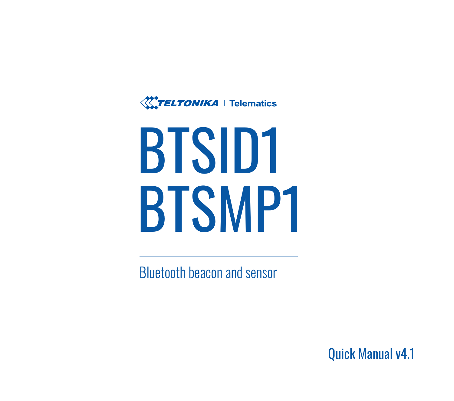

# **BTSID1 BTSMP1**

Bluetooth beacon and sensor

Quick Manual v4.1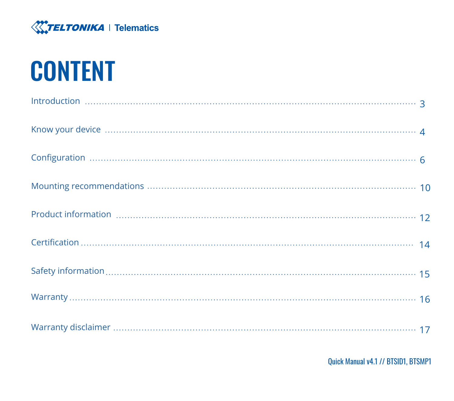

## **CONTENT**

| <b>KITELTONIKA</b>   Telematics     |
|-------------------------------------|
| <b>CONTENT</b>                      |
|                                     |
|                                     |
|                                     |
|                                     |
|                                     |
|                                     |
|                                     |
|                                     |
|                                     |
| Quick Manual v4.1 // BTSID1, BTSMP1 |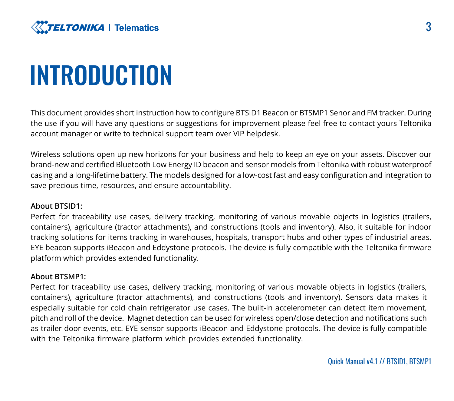<span id="page-2-0"></span>

### INTRODUCTION

This document provides short instruction how to configure BTSID1 Beacon or BTSMP1 Senor and FM tracker. During the use if you will have any questions or suggestions for improvement please feel free to contact yours Teltonika account manager or write to technical support team over VIP helpdesk.

Wireless solutions open up new horizons for your business and help to keep an eye on your assets. Discover our brand-new and certified Bluetooth Low Energy ID beacon and sensor models from Teltonika with robust waterproof casing and a long-lifetime battery. The models designed for a low-cost fast and easy configuration and integration to save precious time, resources, and ensure accountability.

#### **About BTSID1:**

Perfect for traceability use cases, delivery tracking, monitoring of various movable objects in logistics (trailers, containers), agriculture (tractor attachments), and constructions (tools and inventory). Also, it suitable for indoor tracking solutions for items tracking in warehouses, hospitals, transport hubs and other types of industrial areas. EYE beacon supports iBeacon and Eddystone protocols. The device is fully compatible with the Teltonika firmware platform which provides extended functionality.

#### About **BTSMP1**

Perfect for traceability use cases, delivery tracking, monitoring of various movable objects in logistics (trailers, containers), agriculture (tractor attachments), and constructions (tools and inventory). Sensors data makes it especially suitable for cold chain refrigerator use cases. The built-in accelerometer can detect item movement, pitch and roll of the device. Magnet detection can be used for wireless open/close detection and notifications such as trailer door events, etc. EYE sensor supports iBeacon and Eddystone protocols. The device is fully compatible with the Teltonika firmware platform which provides extended functionality.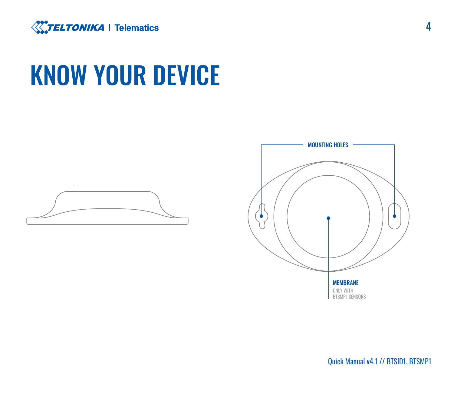<span id="page-3-0"></span>

### **KNOW YOUR DEVICE**



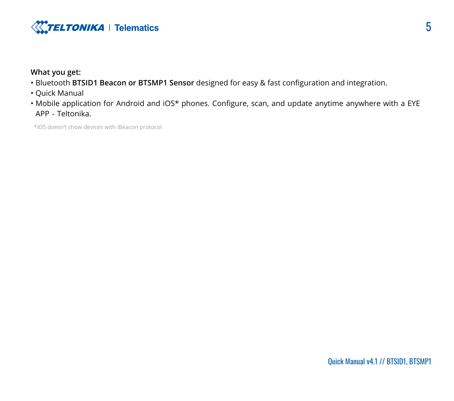

#### **What you get:**

- . Bluetooth BTSID1 Beacon or BTSMP1 Sensor designed for easy & fast configuration and integration.
- Quick Manual
- Mobile application for Android and iOS\* phones. Configure, scan, and update anytime anywhere with a EYE APP - Teltonika.

\*iOS doesn't show devices with iBeacon protocol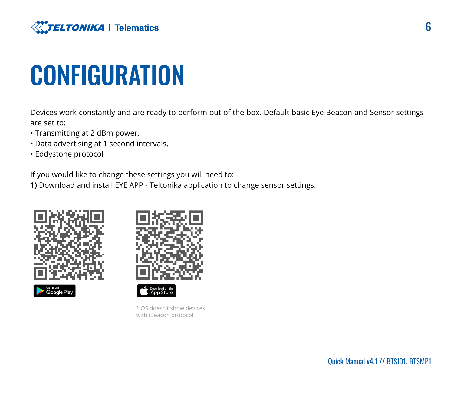<span id="page-5-0"></span>

### **CONFIGURATION**

Devices work constantly and are ready to perform out of the box. Default basic Eye Beacon and Sensor settings are set to:

- Transmitting at 2 dBm power.
- . Data advertising at 1 second intervals.
- Eddystone protocol

If you would like to change these settings you will need to:

1) Download and install EYE APP - Teltonika application to change sensor settings.





Ann Store

\*iOS doesn't show [devi](https://apps.apple.com/by/app/eye-app-teltonika/id1561321232)ces with iBeacon protocol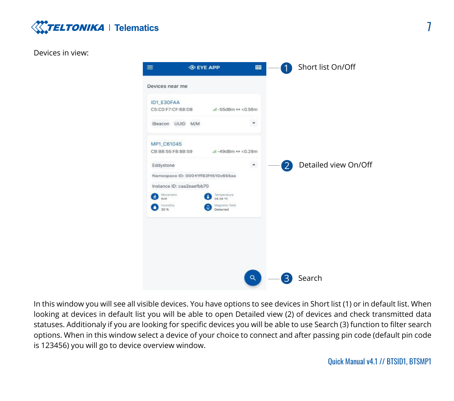

#### Devices in view:



In this window you will see all visible devices. You have options to see devices in Short list (1) or in default list. When looking at devices in default list you will be able to open Detailed view (2) of devices and check transmitted data statuses. Additionaly if you are looking for specific devices you will be able to use Search (3) function to filter search options. When in this window select a device of your choice to connect and after passing pin code (default pin code is 123456) you will go to device overview window.

7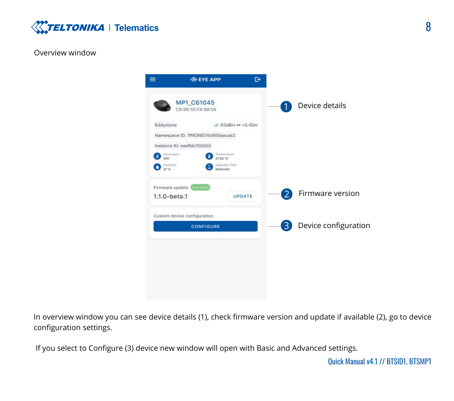

#### Overview window



In overview window you can see device details (1), check firmware version and update if available (2), go to device configuration settings.

If you select to Configure (3) device new window will open with Basic and Advanced settings.

Ouick Manual v4.1 // BTSID1, BTSMP1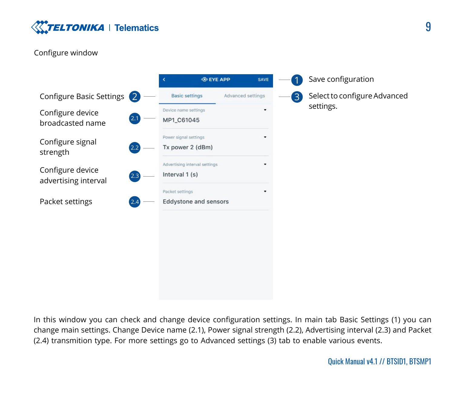

#### Configure window



In this window you can check and change device configuration settings. In main tab Basic Settings (1) you can change main settings. Change Device name (2.1), Power signal strength (2.2), Advertising interval (2.3) and Packet  $(2.4)$  transmition type. For more settings go to Advanced settings  $(3)$  tab to enable various events.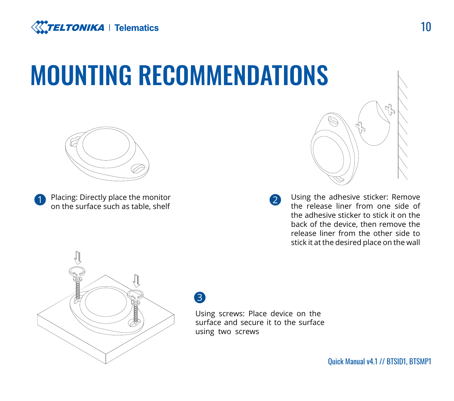<span id="page-9-0"></span>

## **MOUNTING RECOMMENDATIONS**



**1** Placing: Directly place the monitor **2 2** on the surface such as table, shelf



Using the adhesive sticker: Remove the release liner from one side of the adhesive sticker to stick it on the back of the device, then remove the release liner from the other side to stick it at the desired place on the wall



3

Using screws: Place device on the surface and secure it to the surface using two screws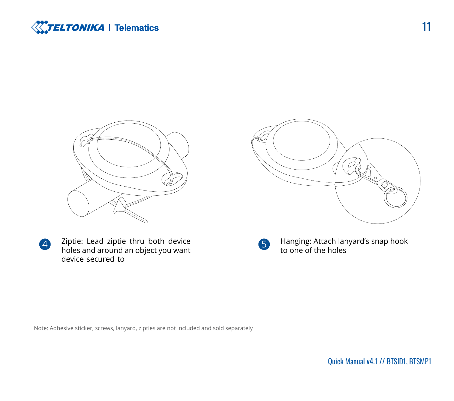



 $\mathbb{R}$  .

Ziptie: Lead ziptie thru both device 4 a suppleted and around an object you want device secured to

Hanging: Attach lanyard's snap hook to one of the holes

Note: Adhesive sticker, screws, lanyard, zipties are not included and sold separately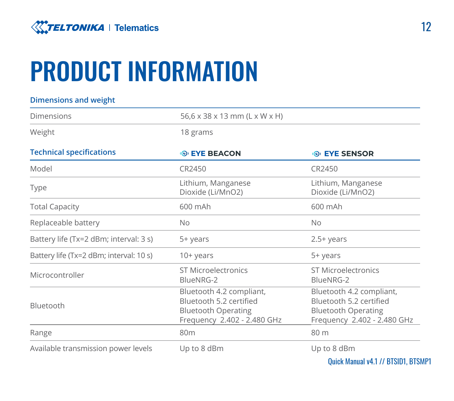<span id="page-11-0"></span>

## **PRODUCT INFORMATION**

| <b>Dimensions and weight</b>            |                                                                                                                  |                                                                                                                  |
|-----------------------------------------|------------------------------------------------------------------------------------------------------------------|------------------------------------------------------------------------------------------------------------------|
| Dimensions                              | 56,6 x 38 x 13 mm (L x W x H)                                                                                    |                                                                                                                  |
| Weight                                  | 18 grams                                                                                                         |                                                                                                                  |
| <b>Technical specifications</b>         | <b>O EYE BEACON</b>                                                                                              | <b>O EYE SENSOR</b>                                                                                              |
| Model                                   | CR2450                                                                                                           | CR2450                                                                                                           |
| Type                                    | Lithium, Manganese<br>Dioxide (Li/MnO2)                                                                          | Lithium, Manganese<br>Dioxide (Li/MnO2)                                                                          |
| <b>Total Capacity</b>                   | 600 mAh                                                                                                          | 600 mAh                                                                                                          |
| Replaceable battery                     | <b>No</b>                                                                                                        | <b>No</b>                                                                                                        |
| Battery life (Tx=2 dBm; interval: 3 s)  | 5+ years                                                                                                         | $2.5+years$                                                                                                      |
| Battery life (Tx=2 dBm; interval: 10 s) | $10+years$                                                                                                       | 5+ years                                                                                                         |
| Microcontroller                         | ST Microelectronics<br>BlueNRG-2                                                                                 | ST Microelectronics<br>BlueNRG-2                                                                                 |
| Bluetooth                               | Bluetooth 4.2 compliant,<br>Bluetooth 5.2 certified<br><b>Bluetooth Operating</b><br>Frequency 2.402 - 2.480 GHz | Bluetooth 4.2 compliant,<br>Bluetooth 5.2 certified<br><b>Bluetooth Operating</b><br>Frequency 2.402 - 2.480 GHz |
| Range                                   | 80 <sub>m</sub>                                                                                                  | 80 m                                                                                                             |
| Available transmission power levels     | Up to 8 dBm                                                                                                      | Up to 8 dBm                                                                                                      |
|                                         |                                                                                                                  |                                                                                                                  |

Quick Manual v4.1 // BTSID1. BTSMP1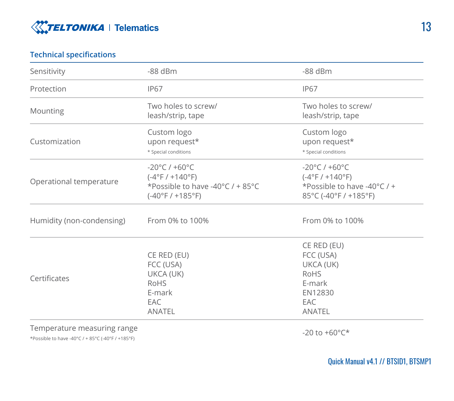

#### **specifications Technical**

| Sensitivity                                                                      | $-88$ dBm                                                                                                        | $-88$ dBm                                                                                                      |
|----------------------------------------------------------------------------------|------------------------------------------------------------------------------------------------------------------|----------------------------------------------------------------------------------------------------------------|
| Protection                                                                       | <b>IP67</b>                                                                                                      | <b>IP67</b>                                                                                                    |
| Mounting                                                                         | Two holes to screw/<br>leash/strip, tape                                                                         | Two holes to screw/<br>leash/strip, tape                                                                       |
| Customization                                                                    | Custom logo<br>upon request*<br>* Special conditions                                                             | Custom logo<br>upon request*<br>* Special conditions                                                           |
| Operational temperature                                                          | $-20^{\circ}$ C / $+60^{\circ}$ C<br>$(-4°F / +140°F)$<br>*Possible to have -40°C / + 85°C<br>$(-40°F / +185°F)$ | $-20^{\circ}$ C / $+60^{\circ}$ C<br>$(-4°F / +140°F)$<br>*Possible to have -40°C / +<br>85°C (-40°F / +185°F) |
| Humidity (non-condensing)                                                        | From 0% to 100%                                                                                                  | From 0% to 100%                                                                                                |
| Certificates                                                                     | CE RED (EU)<br>FCC (USA)<br>UKCA (UK)<br><b>RoHS</b><br>E-mark<br>EAC<br><b>ANATEL</b>                           | CE RED (EU)<br>FCC (USA)<br>UKCA (UK)<br>RoHS<br>E-mark<br>EN12830<br>EAC<br><b>ANATEL</b>                     |
| Temperature measuring range<br>*Possible to have -40°C / + 85°C (-40°F / +185°F) |                                                                                                                  | $-20$ to $+60^{\circ}$ C*                                                                                      |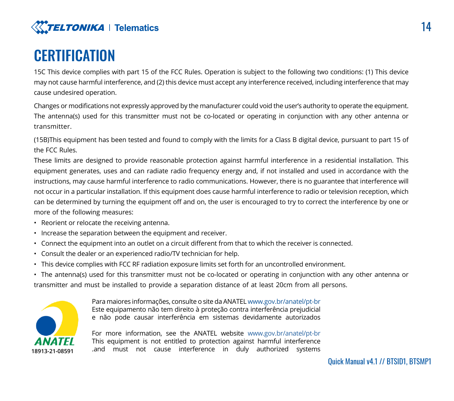

### **CERTIFICATION**

15C This device complies with part 15 of the FCC Rules. Operation is subject to the following two conditions: (1) This device may not cause harmful interference, and (2) this device must accept any interference received, including interference that may cause undesired operation.

Changes or modifications not expressly approved by the manufacturer could void the user's authority to operate the equipment. The antenna(s) used for this transmitter must not be co-located or operating in conjunction with any other antenna or .transmitter

(15B)This equipment has been tested and found to comply with the limits for a Class B digital device, pursuant to part 15 of the FCC Rules

These limits are designed to provide reasonable protection against harmful interference in a residential installation. This equipment generates, uses and can radiate radio frequency energy and, if not installed and used in accordance with the instructions, may cause harmful interference to radio communications. However, there is no guarantee that interference will not occur in a particular installation. If this equipment does cause harmful interference to radio or television reception, which can be determined by turning the equipment off and on, the user is encouraged to try to correct the interference by one or more of the following measures:

- Reorient or relocate the receiving antenna.
- $\cdot$  Increase the separation between the equipment and receiver.
- . Connect the equipment into an outlet on a circuit different from that to which the receiver is connected.
- Consult the dealer or an experienced radio/TV technician for help.
- . This device complies with FCC RF radiation exposure limits set forth for an uncontrolled environment.

• The antenna(s) used for this transmitter must not be co-located or operating in conjunction with any other antenna or transmitter and must be installed to provide a separation distance of at least 20cm from all persons.



Para maiores informações, consulte o site da ANATEL www.gov.br/anatel/pt-br Este equipamento não tem direito à proteção contra interferência prejudicial e não pode causar interferência em sistemas devidamente autorizados

For more information, see the ANATEL website www.gov.br/anatel/pt-br This equipment is not entitled to protection against harmful interference 18913-21-08591 and must not cause interference in duly authorized systems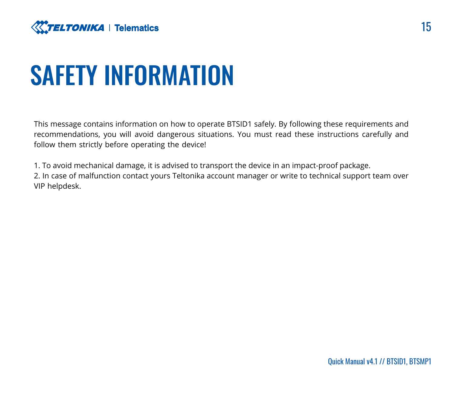<span id="page-14-0"></span>

### **SAFETY INFORMATION**

This message contains information on how to operate BTSID1 safely. By following these requirements and recommendations, you will avoid dangerous situations. You must read these instructions carefully and follow them strictly before operating the device!

1. To avoid mechanical damage, it is advised to transport the device in an impact-proof package.

2. In case of malfunction contact yours Teltonika account manager or write to technical support team over VIP helpdesk.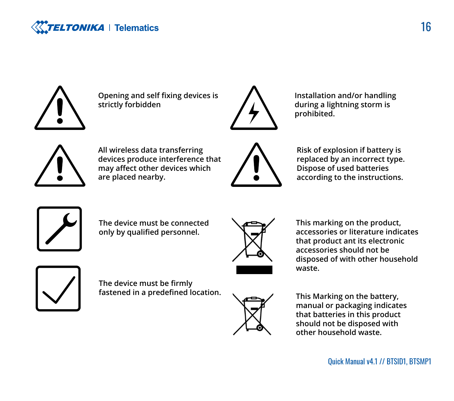



**Opening and self fixing devices is forbidden strictly**



**Installation and/or handling** during a lightning storm is **.prohibited**



**All wireless data transferring** devices produce interference that may affect other devices which are placed nearby.



**Risk of explosion if battery is** replaced by an incorrect type. **Dispose of used batteries** according to the instructions.



The device must be connected only by qualified personnel.



This marking on the product, accessories or literature indicates that product ant its electronic  **be not should accessories** disposed of with other household **.waste**



**The device must be firmly** fastened in a predefined location.



**This Marking on the battery,** manual or packaging indicates that batteries in this product should not be disposed with other household waste.